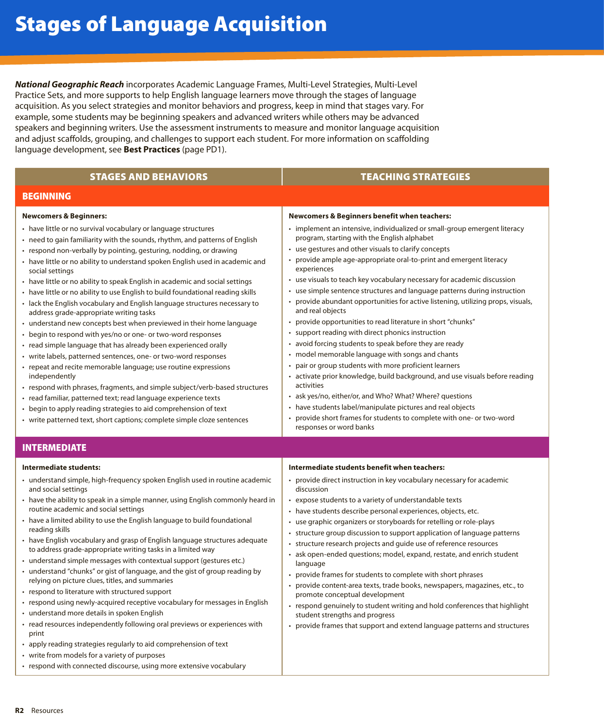*National Geographic Reach* incorporates Academic Language Frames, Multi-Level Strategies, Multi-Level Practice Sets, and more supports to help English language learners move through the stages of language acquisition. As you select strategies and monitor behaviors and progress, keep in mind that stages vary. For example, some students may be beginning speakers and advanced writers while others may be advanced speakers and beginning writers. Use the assessment instruments to measure and monitor language acquisition and adjust scaffolds, grouping, and challenges to support each student. For more information on scaffolding language development, see **Best Practices** (page PD1).

| <b>STAGES AND BEHAVIORS</b>                                                                                                                                                                                                                                                                                                                                                                                                                                                                                                                                                                                                                                                                                                                                                                                                                                                                                                                                                                                                                                                                                                                                                                                                                                                                                                 | <b>TEACHING STRATEGIES</b>                                                                                                                                                                                                                                                                                                                                                                                                                                                                                                                                                                                                                                                                                                                                                                                                                                                                                                                                                                                                                                                                                                                                                                                            |
|-----------------------------------------------------------------------------------------------------------------------------------------------------------------------------------------------------------------------------------------------------------------------------------------------------------------------------------------------------------------------------------------------------------------------------------------------------------------------------------------------------------------------------------------------------------------------------------------------------------------------------------------------------------------------------------------------------------------------------------------------------------------------------------------------------------------------------------------------------------------------------------------------------------------------------------------------------------------------------------------------------------------------------------------------------------------------------------------------------------------------------------------------------------------------------------------------------------------------------------------------------------------------------------------------------------------------------|-----------------------------------------------------------------------------------------------------------------------------------------------------------------------------------------------------------------------------------------------------------------------------------------------------------------------------------------------------------------------------------------------------------------------------------------------------------------------------------------------------------------------------------------------------------------------------------------------------------------------------------------------------------------------------------------------------------------------------------------------------------------------------------------------------------------------------------------------------------------------------------------------------------------------------------------------------------------------------------------------------------------------------------------------------------------------------------------------------------------------------------------------------------------------------------------------------------------------|
| <b>BEGINNING</b>                                                                                                                                                                                                                                                                                                                                                                                                                                                                                                                                                                                                                                                                                                                                                                                                                                                                                                                                                                                                                                                                                                                                                                                                                                                                                                            |                                                                                                                                                                                                                                                                                                                                                                                                                                                                                                                                                                                                                                                                                                                                                                                                                                                                                                                                                                                                                                                                                                                                                                                                                       |
| <b>Newcomers &amp; Beginners:</b><br>• have little or no survival vocabulary or language structures<br>• need to gain familiarity with the sounds, rhythm, and patterns of English<br>• respond non-verbally by pointing, gesturing, nodding, or drawing<br>• have little or no ability to understand spoken English used in academic and<br>social settings<br>• have little or no ability to speak English in academic and social settings<br>• have little or no ability to use English to build foundational reading skills<br>• lack the English vocabulary and English language structures necessary to<br>address grade-appropriate writing tasks<br>• understand new concepts best when previewed in their home language<br>• begin to respond with yes/no or one- or two-word responses<br>• read simple language that has already been experienced orally<br>• write labels, patterned sentences, one- or two-word responses<br>• repeat and recite memorable language; use routine expressions<br>independently<br>• respond with phrases, fragments, and simple subject/verb-based structures<br>• read familiar, patterned text; read language experience texts<br>• begin to apply reading strategies to aid comprehension of text<br>• write patterned text, short captions; complete simple cloze sentences | <b>Newcomers &amp; Beginners benefit when teachers:</b><br>• implement an intensive, individualized or small-group emergent literacy<br>program, starting with the English alphabet<br>• use gestures and other visuals to clarify concepts<br>• provide ample age-appropriate oral-to-print and emergent literacy<br>experiences<br>• use visuals to teach key vocabulary necessary for academic discussion<br>• use simple sentence structures and language patterns during instruction<br>provide abundant opportunities for active listening, utilizing props, visuals,<br>and real objects<br>• provide opportunities to read literature in short "chunks"<br>• support reading with direct phonics instruction<br>• avoid forcing students to speak before they are ready<br>• model memorable language with songs and chants<br>pair or group students with more proficient learners<br>• activate prior knowledge, build background, and use visuals before reading<br>activities<br>• ask yes/no, either/or, and Who? What? Where? questions<br>• have students label/manipulate pictures and real objects<br>provide short frames for students to complete with one- or two-word<br>responses or word banks |
| <b>INTERMEDIATE</b>                                                                                                                                                                                                                                                                                                                                                                                                                                                                                                                                                                                                                                                                                                                                                                                                                                                                                                                                                                                                                                                                                                                                                                                                                                                                                                         |                                                                                                                                                                                                                                                                                                                                                                                                                                                                                                                                                                                                                                                                                                                                                                                                                                                                                                                                                                                                                                                                                                                                                                                                                       |
| Intermediate students:<br>• understand simple, high-frequency spoken English used in routine academic<br>and social settings<br>• have the ability to speak in a simple manner, using English commonly heard in<br>routine academic and social settings<br>• have a limited ability to use the English language to build foundational<br>reading skills<br>• have English vocabulary and grasp of English language structures adequate<br>to address grade-appropriate writing tasks in a limited way<br>• understand simple messages with contextual support (gestures etc.)<br>• understand "chunks" or gist of language, and the gist of group reading by<br>relying on picture clues, titles, and summaries<br>• respond to literature with structured support<br>• respond using newly-acquired receptive vocabulary for messages in English<br>• understand more details in spoken English<br>• read resources independently following oral previews or experiences with<br>print<br>• apply reading strategies regularly to aid comprehension of text<br>• write from models for a variety of purposes                                                                                                                                                                                                               | Intermediate students benefit when teachers:<br>• provide direct instruction in key vocabulary necessary for academic<br>discussion<br>• expose students to a variety of understandable texts<br>• have students describe personal experiences, objects, etc.<br>• use graphic organizers or storyboards for retelling or role-plays<br>• structure group discussion to support application of language patterns<br>• structure research projects and guide use of reference resources<br>• ask open-ended questions; model, expand, restate, and enrich student<br>language<br>• provide frames for students to complete with short phrases<br>• provide content-area texts, trade books, newspapers, magazines, etc., to<br>promote conceptual development<br>• respond genuinely to student writing and hold conferences that highlight<br>student strengths and progress<br>• provide frames that support and extend language patterns and structures                                                                                                                                                                                                                                                             |

• respond with connected discourse, using more extensive vocabulary